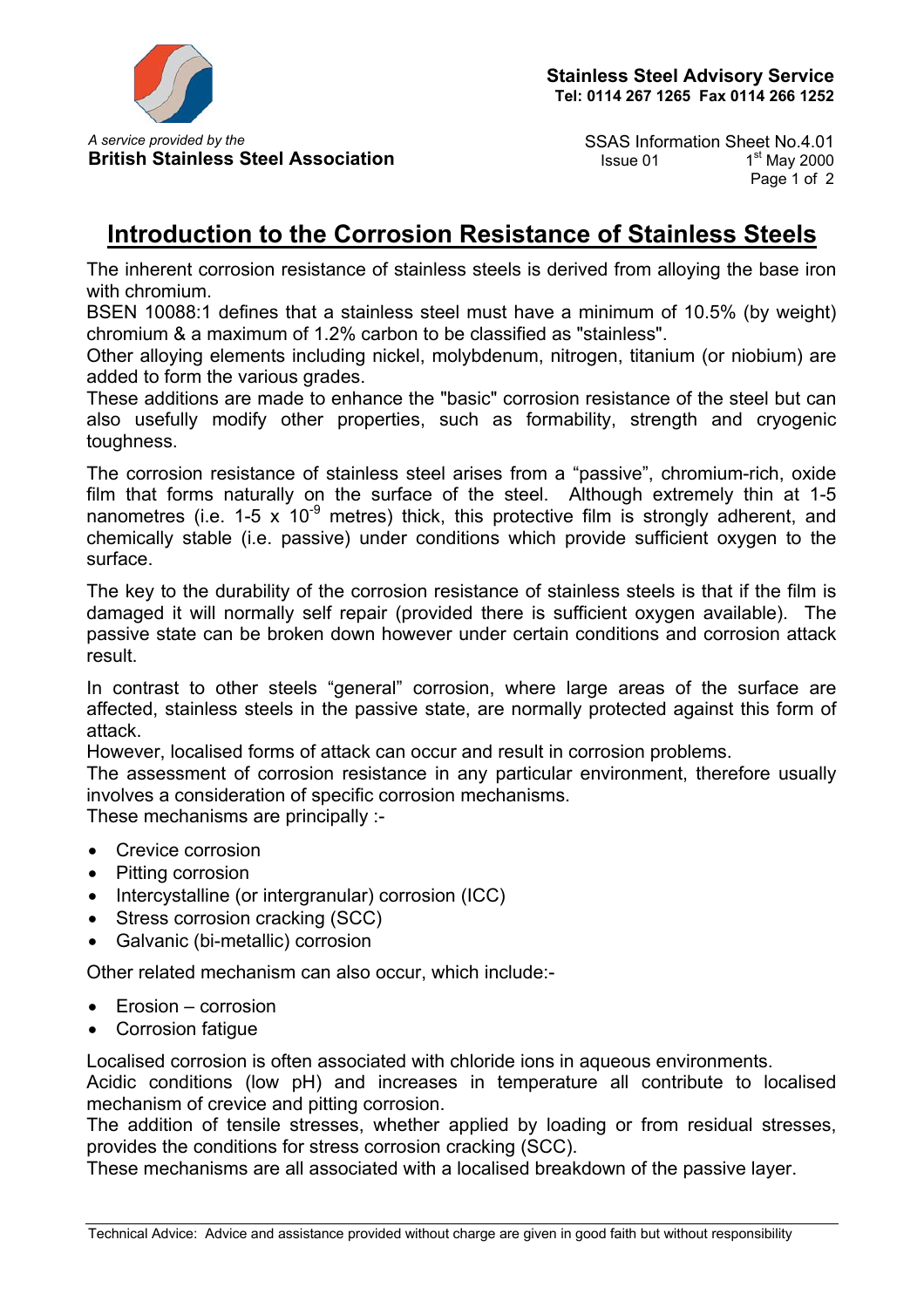

**British Stainless Steel Association** Issue 01

*A service provided by the* SSAS Information Sheet No.4.01<br>British Stainless Steel Association Sheet No.4.01 1<sup>st</sup> May 2000 Page 1 of 2

## **Introduction to the Corrosion Resistance of Stainless Steels**

The inherent corrosion resistance of stainless steels is derived from alloying the base iron with chromium.

BSEN 10088:1 defines that a stainless steel must have a minimum of 10.5% (by weight) chromium & a maximum of 1.2% carbon to be classified as "stainless".

Other alloying elements including nickel, molybdenum, nitrogen, titanium (or niobium) are added to form the various grades.

These additions are made to enhance the "basic" corrosion resistance of the steel but can also usefully modify other properties, such as formability, strength and cryogenic toughness.

The corrosion resistance of stainless steel arises from a "passive", chromium-rich, oxide film that forms naturally on the surface of the steel. Although extremely thin at 1-5 nanometres (i.e.  $1-5 \times 10^{-9}$  metres) thick, this protective film is strongly adherent, and chemically stable (i.e. passive) under conditions which provide sufficient oxygen to the surface.

The key to the durability of the corrosion resistance of stainless steels is that if the film is damaged it will normally self repair (provided there is sufficient oxygen available). The passive state can be broken down however under certain conditions and corrosion attack result.

In contrast to other steels "general" corrosion, where large areas of the surface are affected, stainless steels in the passive state, are normally protected against this form of attack.

However, localised forms of attack can occur and result in corrosion problems.

The assessment of corrosion resistance in any particular environment, therefore usually involves a consideration of specific corrosion mechanisms.

These mechanisms are principally :-

- Crevice corrosion
- Pitting corrosion
- Intercystalline (or intergranular) corrosion (ICC)
- Stress corrosion cracking (SCC)
- Galvanic (bi-metallic) corrosion

Other related mechanism can also occur, which include:-

- Erosion corrosion
- Corrosion fatigue

Localised corrosion is often associated with chloride ions in aqueous environments. Acidic conditions (low pH) and increases in temperature all contribute to localised mechanism of crevice and pitting corrosion.

The addition of tensile stresses, whether applied by loading or from residual stresses, provides the conditions for stress corrosion cracking (SCC).

These mechanisms are all associated with a localised breakdown of the passive layer.